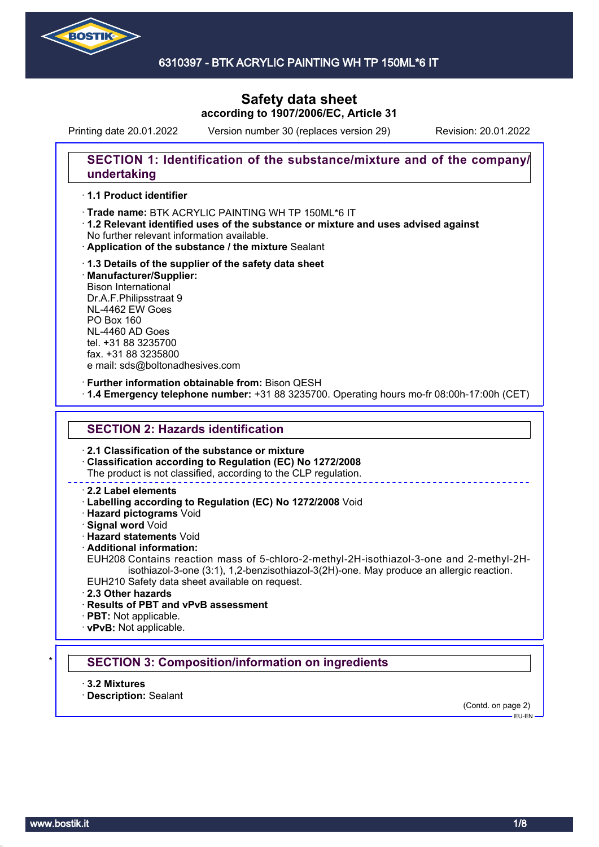

## **Safety data sheet according to 1907/2006/EC, Article 31**

Printing date 20.01.2022 Version number 30 (replaces version 29) Revision: 20.01.2022

## **SECTION 1: Identification of the substance/mixture and of the company/ undertaking**

### · **1.1 Product identifier**

· Trade name: BTK ACRYLIC PAINTING WH TP 150ML\*6 IT

- · **1.2 Relevant identified uses of the substance or mixture and uses advised against** No further relevant information available.
- · **Application of the substance / the mixture** Sealant
- · **1.3 Details of the supplier of the safety data sheet** · **Manufacturer/Supplier:** Bison International Dr.A.F.Philipsstraat 9 NL-4462 EW Goes PO Box 160 NL-4460 AD Goes tel. +31 88 3235700 fax. +31 88 3235800 e mail: sds@boltonadhesives.com

#### · **Further information obtainable from:** Bison QESH

· **1.4 Emergency telephone number:** +31 88 3235700. Operating hours mo-fr 08:00h-17:00h (CET)

### **SECTION 2: Hazards identification**

· **2.1 Classification of the substance or mixture**

· **Classification according to Regulation (EC) No 1272/2008**

The product is not classified, according to the CLP regulation.

### · **2.2 Label elements**

· **Labelling according to Regulation (EC) No 1272/2008** Void

· **Hazard pictograms** Void

· **Signal word** Void

· **Hazard statements** Void

· **Additional information:**

EUH208 Contains reaction mass of 5-chloro-2-methyl-2H-isothiazol-3-one and 2-methyl-2Hisothiazol-3-one (3:1), 1,2-benzisothiazol-3(2H)-one. May produce an allergic reaction. EUH210 Safety data sheet available on request.

- · **2.3 Other hazards**
- · **Results of PBT and vPvB assessment**

· **PBT:** Not applicable.

· **vPvB:** Not applicable.

### **SECTION 3: Composition/information on ingredients**

· **3.2 Mixtures**

· **Description:** Sealant

(Contd. on page 2)

 $-$ FU-FN-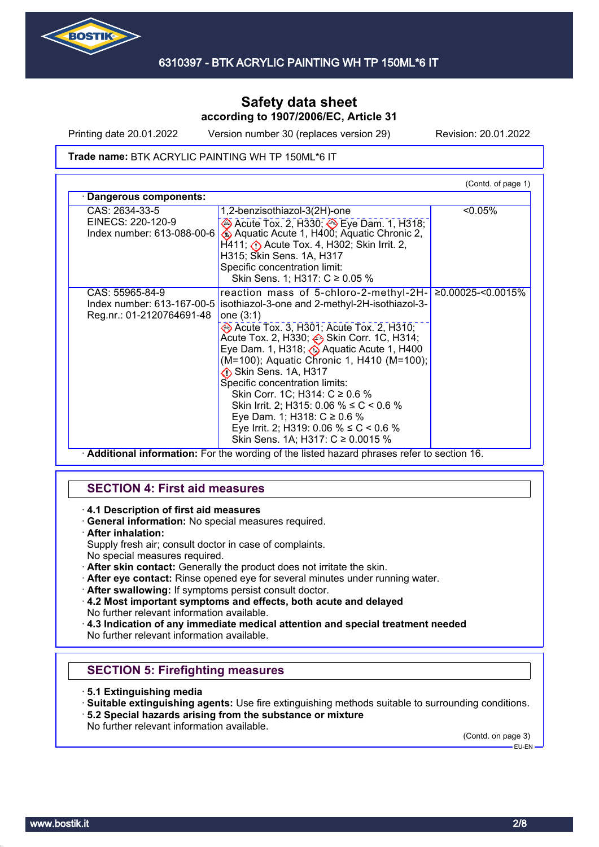

Printing date 20.01.2022 Version number 30 (replaces version 29) Revision: 20.01.2022

### **Trade name: BTK ACRYLIC PAINTING WH TP 150ML\*6 IT**

|                                                         |                                                                                                                  | (Contd. of page 1) |  |  |
|---------------------------------------------------------|------------------------------------------------------------------------------------------------------------------|--------------------|--|--|
| Dangerous components:                                   |                                                                                                                  |                    |  |  |
| CAS: 2634-33-5<br>EINECS: 220-120-9                     | 1,2-benzisothiazol-3(2H)-one<br>→ Acute Tox. 2, H330; → Eye Dam. 1, H318;                                        | $< 0.05\%$         |  |  |
| Index number: 613-088-00-6                              | Aquatic Acute 1, H400; Aquatic Chronic 2,<br>$H$ 411; $\langle \cdot \rangle$ Acute Tox. 4, H302; Skin Irrit. 2, |                    |  |  |
|                                                         | H315; Skin Sens. 1A, H317                                                                                        |                    |  |  |
|                                                         | Specific concentration limit:<br>Skin Sens. 1; H317: C ≥ 0.05 %                                                  |                    |  |  |
| CAS: 55965-84-9                                         | reaction mass of 5-chloro-2-methyl-2H-  ≥0.00025-<0.0015%                                                        |                    |  |  |
| Index number: 613-167-00-5<br>Reg.nr.: 01-2120764691-48 | isothiazol-3-one and 2-methyl-2H-isothiazol-3-<br>one $(3:1)$                                                    |                    |  |  |
|                                                         | Acute Tox. 3, H301; Acute Tox. 2, H310;<br>Acute Tox. 2, H330; → Skin Corr. 1C, H314;                            |                    |  |  |
|                                                         | Eye Dam. 1, H318; $\bigodot$ Aquatic Acute 1, H400<br>(M=100); Aquatic Chronic 1, H410 (M=100);                  |                    |  |  |
|                                                         | Skin Sens. 1A, H317                                                                                              |                    |  |  |
|                                                         | Specific concentration limits:                                                                                   |                    |  |  |
|                                                         | Skin Corr. 1C; H314: C ≥ 0.6 %                                                                                   |                    |  |  |
|                                                         | Skin Irrit. 2; H315: 0.06 % $\leq C$ < 0.6 %                                                                     |                    |  |  |
|                                                         | Eye Dam. 1; H318: $C \ge 0.6$ %<br>Eye Irrit. 2; H319: 0.06 % ≤ C < 0.6 %                                        |                    |  |  |
|                                                         | Skin Sens. 1A; H317: C ≥ 0.0015 %                                                                                |                    |  |  |

· **Additional information:** For the wording of the listed hazard phrases refer to section 16.

## **SECTION 4: First aid measures**

- · **4.1 Description of first aid measures**
- · **General information:** No special measures required.
- · **After inhalation:**
- Supply fresh air; consult doctor in case of complaints.
- No special measures required.
- · **After skin contact:** Generally the product does not irritate the skin.
- · **After eye contact:** Rinse opened eye for several minutes under running water.
- · **After swallowing:** If symptoms persist consult doctor.
- · **4.2 Most important symptoms and effects, both acute and delayed** No further relevant information available.

· **4.3 Indication of any immediate medical attention and special treatment needed** No further relevant information available.

# **SECTION 5: Firefighting measures**

- · **5.1 Extinguishing media**
- · **Suitable extinguishing agents:** Use fire extinguishing methods suitable to surrounding conditions.
- · **5.2 Special hazards arising from the substance or mixture**
- No further relevant information available.

(Contd. on page 3)

EU-EN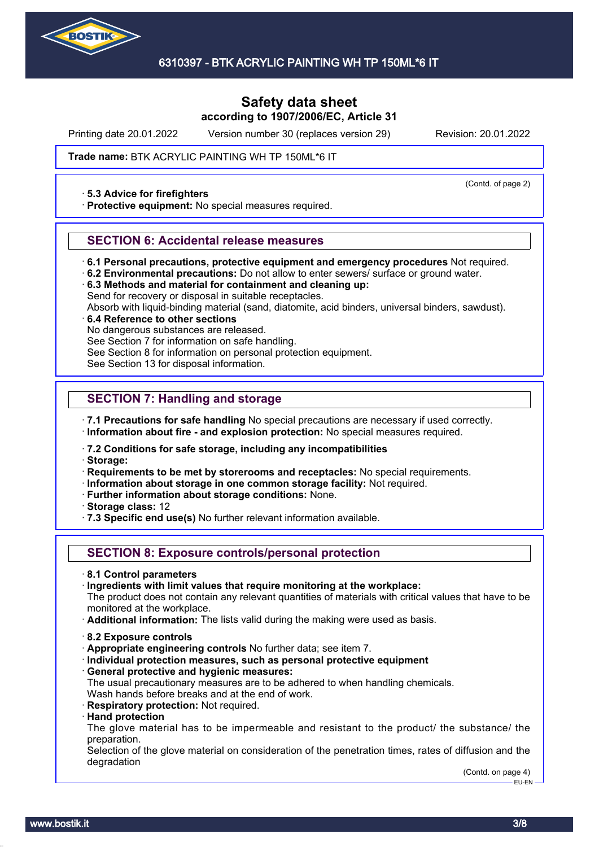

## **Safety data sheet according to 1907/2006/EC, Article 31**

Printing date 20.01.2022 Version number 30 (replaces version 29) Revision: 20.01.2022

(Contd. of page 2)

### **Trade name: BTK ACRYLIC PAINTING WH TP 150ML\*6 IT**

### · **5.3 Advice for firefighters**

· **Protective equipment:** No special measures required.

### **SECTION 6: Accidental release measures**

- · **6.1 Personal precautions, protective equipment and emergency procedures** Not required.
- · **6.2 Environmental precautions:** Do not allow to enter sewers/ surface or ground water.
- · **6.3 Methods and material for containment and cleaning up:** Send for recovery or disposal in suitable receptacles.
- Absorb with liquid-binding material (sand, diatomite, acid binders, universal binders, sawdust).

### · **6.4 Reference to other sections**

No dangerous substances are released.

See Section 7 for information on safe handling.

See Section 8 for information on personal protection equipment.

See Section 13 for disposal information.

## **SECTION 7: Handling and storage**

· **7.1 Precautions for safe handling** No special precautions are necessary if used correctly.

· **Information about fire - and explosion protection:** No special measures required.

· **7.2 Conditions for safe storage, including any incompatibilities**

· **Storage:**

· **Requirements to be met by storerooms and receptacles:** No special requirements.

- · **Information about storage in one common storage facility:** Not required.
- · **Further information about storage conditions:** None.
- · **Storage class:** 12
- · **7.3 Specific end use(s)** No further relevant information available.

## **SECTION 8: Exposure controls/personal protection**

- · **8.1 Control parameters**
- · **Ingredients with limit values that require monitoring at the workplace:**

The product does not contain any relevant quantities of materials with critical values that have to be monitored at the workplace.

· **Additional information:** The lists valid during the making were used as basis.

- · **8.2 Exposure controls**
- · **Appropriate engineering controls** No further data; see item 7.
- · **Individual protection measures, such as personal protective equipment**
- · **General protective and hygienic measures:**
- The usual precautionary measures are to be adhered to when handling chemicals. Wash hands before breaks and at the end of work.
- · **Respiratory protection:** Not required.
- · **Hand protection**

The glove material has to be impermeable and resistant to the product/ the substance/ the preparation.

Selection of the glove material on consideration of the penetration times, rates of diffusion and the degradation

> (Contd. on page 4) EU-EN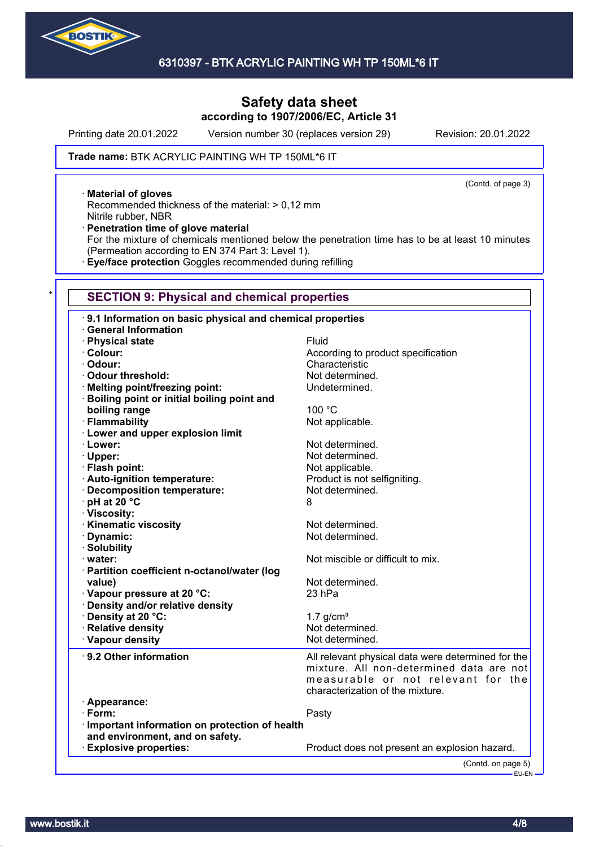

## **Safety data sheet according to 1907/2006/EC, Article 31**

Printing date 20.01.2022 Version number 30 (replaces version 29) Revision: 20.01.2022

(Contd. of page 3)

### **Trade name: BTK ACRYLIC PAINTING WH TP 150ML\*6 IT**

· **Material of gloves**

Recommended thickness of the material: > 0,12 mm Nitrile rubber, NBR

· **Penetration time of glove material**

For the mixture of chemicals mentioned below the penetration time has to be at least 10 minutes (Permeation according to EN 374 Part 3: Level 1).

· **Eye/face protection** Goggles recommended during refilling

### **SECTION 9: Physical and chemical properties**

| 9.1 Information on basic physical and chemical properties |                                                                                                                                      |  |  |
|-----------------------------------------------------------|--------------------------------------------------------------------------------------------------------------------------------------|--|--|
| <b>General Information</b>                                |                                                                                                                                      |  |  |
| · Physical state                                          | Fluid                                                                                                                                |  |  |
| · Colour:                                                 | According to product specification                                                                                                   |  |  |
| · Odour:                                                  | Characteristic                                                                                                                       |  |  |
| · Odour threshold:                                        | Not determined.                                                                                                                      |  |  |
| · Melting point/freezing point:                           | Undetermined.                                                                                                                        |  |  |
| · Boiling point or initial boiling point and              |                                                                                                                                      |  |  |
| boiling range                                             | 100 °C                                                                                                                               |  |  |
| · Flammability                                            | Not applicable.                                                                                                                      |  |  |
| · Lower and upper explosion limit                         |                                                                                                                                      |  |  |
| · Lower:                                                  | Not determined.                                                                                                                      |  |  |
| · Upper:                                                  | Not determined.                                                                                                                      |  |  |
| · Flash point:                                            | Not applicable.                                                                                                                      |  |  |
| · Auto-ignition temperature:                              | Product is not selfigniting.                                                                                                         |  |  |
| · Decomposition temperature:                              | Not determined.                                                                                                                      |  |  |
| · pH at 20 °C                                             | 8                                                                                                                                    |  |  |
| · Viscosity:                                              |                                                                                                                                      |  |  |
| · Kinematic viscosity                                     | Not determined.                                                                                                                      |  |  |
| · Dynamic:                                                | Not determined.                                                                                                                      |  |  |
| · Solubility                                              |                                                                                                                                      |  |  |
| $\cdot$ water:                                            | Not miscible or difficult to mix.                                                                                                    |  |  |
| · Partition coefficient n-octanol/water (log              |                                                                                                                                      |  |  |
| value)                                                    | Not determined.                                                                                                                      |  |  |
| Vapour pressure at 20 °C:                                 | 23 hPa                                                                                                                               |  |  |
| Density and/or relative density                           |                                                                                                                                      |  |  |
| · Density at 20 °C:                                       | 1.7 $g/cm3$                                                                                                                          |  |  |
| · Relative density                                        | Not determined.                                                                                                                      |  |  |
| · Vapour density                                          | Not determined.                                                                                                                      |  |  |
| 9.2 Other information                                     | All relevant physical data were determined for the<br>mixture. All non-determined data are not<br>measurable or not relevant for the |  |  |
|                                                           | characterization of the mixture.                                                                                                     |  |  |
| · Appearance:                                             |                                                                                                                                      |  |  |
| $\cdot$ Form:                                             | Pasty                                                                                                                                |  |  |
| Important information on protection of health             |                                                                                                                                      |  |  |
| and environment, and on safety.                           |                                                                                                                                      |  |  |
| <b>Explosive properties:</b>                              | Product does not present an explosion hazard.                                                                                        |  |  |
|                                                           | (Contd. on page 5)                                                                                                                   |  |  |
|                                                           | EU-EN                                                                                                                                |  |  |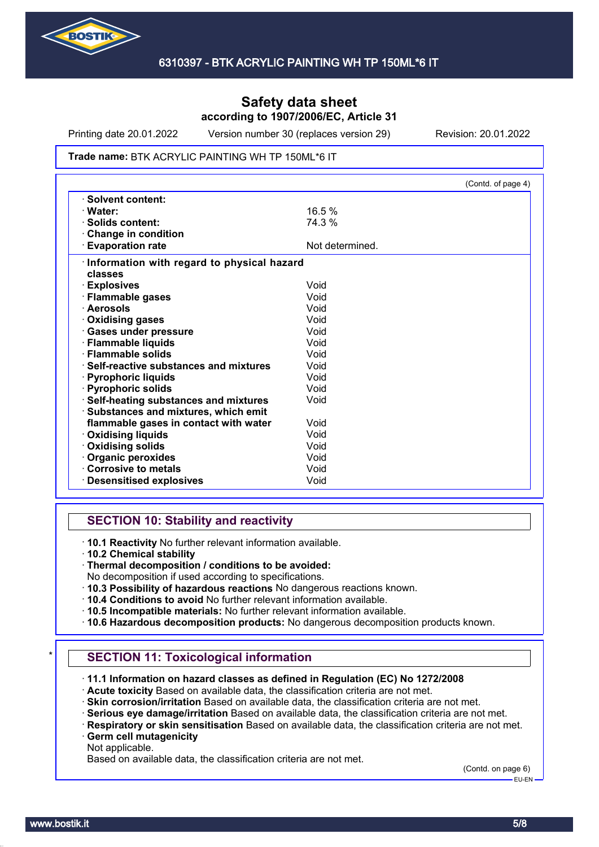

Printing date 20.01.2022 Version number 30 (replaces version 29) Revision: 20.01.2022

### **Trade name: BTK ACRYLIC PAINTING WH TP 150ML\*6 IT**

|                                            |                 | (Contd. of page 4) |
|--------------------------------------------|-----------------|--------------------|
| · Solvent content:                         |                 |                    |
| · Water:                                   | 16.5%           |                    |
| · Solids content:                          | 74.3 %          |                    |
| Change in condition                        |                 |                    |
| <b>Evaporation rate</b>                    | Not determined. |                    |
| Information with regard to physical hazard |                 |                    |
| classes                                    |                 |                    |
| · Explosives                               | Void            |                    |
| · Flammable gases                          | Void            |                    |
| · Aerosols                                 | Void            |                    |
| <b>Oxidising gases</b>                     | Void            |                    |
| · Gases under pressure                     | Void            |                    |
| · Flammable liquids                        | Void            |                    |
| · Flammable solids                         | Void            |                    |
| · Self-reactive substances and mixtures    | Void            |                    |
| · Pyrophoric liquids                       | Void            |                    |
| · Pyrophoric solids                        | Void            |                    |
| · Self-heating substances and mixtures     | Void            |                    |
| · Substances and mixtures, which emit      |                 |                    |
| flammable gases in contact with water      | Void            |                    |
| <b>Oxidising liquids</b>                   | Void            |                    |
| · Oxidising solids                         | Void            |                    |
| Organic peroxides                          | Void            |                    |
| Corrosive to metals                        | Void            |                    |
| <b>Desensitised explosives</b>             | Void            |                    |

## **SECTION 10: Stability and reactivity**

· **10.1 Reactivity** No further relevant information available.

· **10.2 Chemical stability**

- No decomposition if used according to specifications.
- · **10.3 Possibility of hazardous reactions** No dangerous reactions known.
- · **10.4 Conditions to avoid** No further relevant information available.
- · **10.5 Incompatible materials:** No further relevant information available.
- · **10.6 Hazardous decomposition products:** No dangerous decomposition products known.

## **SECTION 11: Toxicological information**

- · **11.1 Information on hazard classes as defined in Regulation (EC) No 1272/2008**
- · **Acute toxicity** Based on available data, the classification criteria are not met.
- · **Skin corrosion/irritation** Based on available data, the classification criteria are not met.
- · **Serious eye damage/irritation** Based on available data, the classification criteria are not met.
- · **Respiratory or skin sensitisation** Based on available data, the classification criteria are not met. · **Germ cell mutagenicity**
- Not applicable.

Based on available data, the classification criteria are not met.

(Contd. on page 6)

<sup>·</sup> **Thermal decomposition / conditions to be avoided:**

EU-EN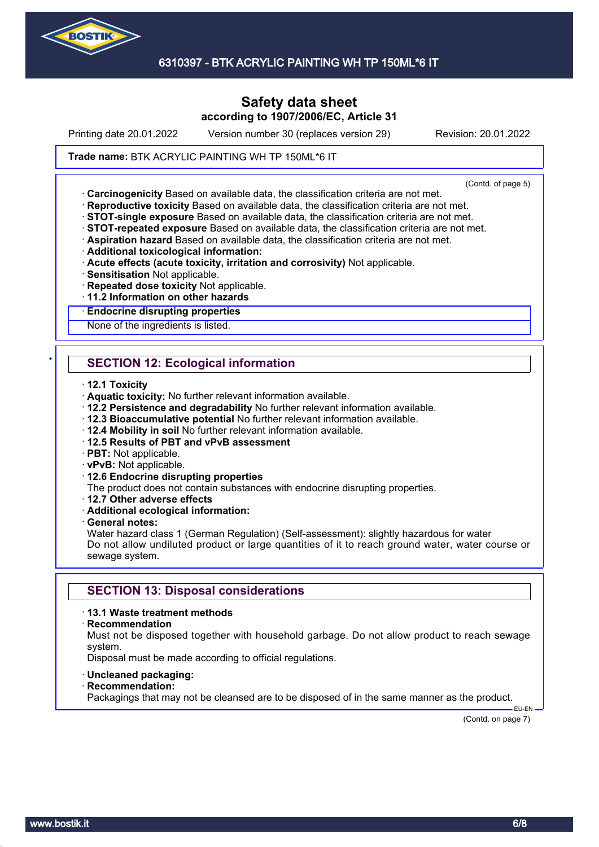

## **Safety data sheet according to 1907/2006/EC, Article 31**

Printing date 20.01.2022 Version number 30 (replaces version 29) Revision: 20.01.2022

### **Trade name: BTK ACRYLIC PAINTING WH TP 150ML\*6 IT**

(Contd. of page 5)

· **Carcinogenicity** Based on available data, the classification criteria are not met.

- · **Reproductive toxicity** Based on available data, the classification criteria are not met.
- · **STOT-single exposure** Based on available data, the classification criteria are not met.
- · **STOT-repeated exposure** Based on available data, the classification criteria are not met.
- · **Aspiration hazard** Based on available data, the classification criteria are not met.
- · **Additional toxicological information:**
- · **Acute effects (acute toxicity, irritation and corrosivity)** Not applicable.
- · **Sensitisation** Not applicable.
- · **Repeated dose toxicity** Not applicable.
- · **11.2 Information on other hazards**

#### · **Endocrine disrupting properties**

None of the ingredients is listed.

## **SECTION 12: Ecological information**

- · **12.1 Toxicity**
- · **Aquatic toxicity:** No further relevant information available.
- · **12.2 Persistence and degradability** No further relevant information available.
- · **12.3 Bioaccumulative potential** No further relevant information available.
- · **12.4 Mobility in soil** No further relevant information available.
- · **12.5 Results of PBT and vPvB assessment**
- · **PBT:** Not applicable.
- · **vPvB:** Not applicable.
- · **12.6 Endocrine disrupting properties**
- The product does not contain substances with endocrine disrupting properties.
- · **12.7 Other adverse effects**
- · **Additional ecological information:**
- · **General notes:**

Water hazard class 1 (German Regulation) (Self-assessment): slightly hazardous for water Do not allow undiluted product or large quantities of it to reach ground water, water course or sewage system.

## **SECTION 13: Disposal considerations**

### · **13.1 Waste treatment methods**

#### · **Recommendation**

Must not be disposed together with household garbage. Do not allow product to reach sewage system.

Disposal must be made according to official regulations.

- · **Uncleaned packaging:**
- · **Recommendation:**

Packagings that may not be cleansed are to be disposed of in the same manner as the product.

(Contd. on page 7)

EU-EN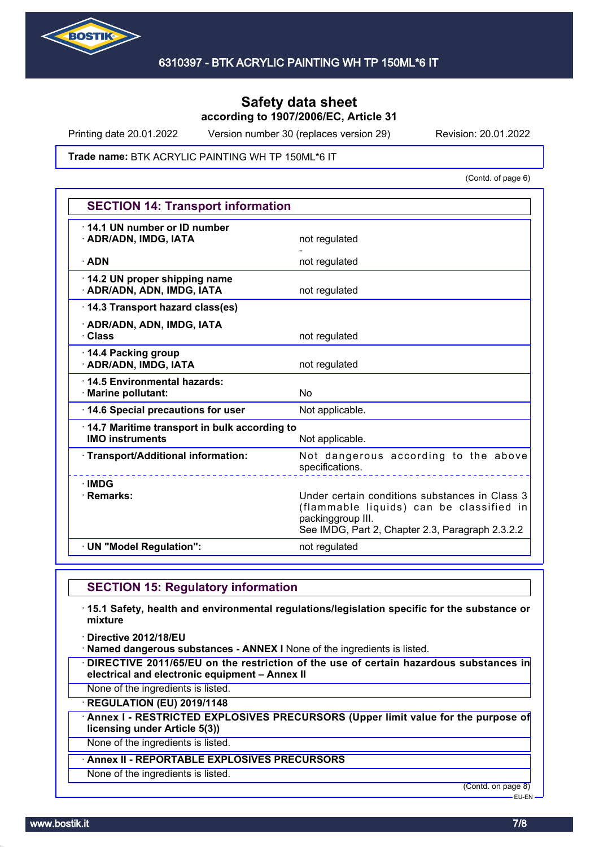

Printing date 20.01.2022 Version number 30 (replaces version 29) Revision: 20.01.2022

### **Trade name: BTK ACRYLIC PAINTING WH TP 150ML\*6 IT**

(Contd. of page 6)

| <b>SECTION 14: Transport information</b>                               |                                                                                                                                                                     |  |
|------------------------------------------------------------------------|---------------------------------------------------------------------------------------------------------------------------------------------------------------------|--|
| 14.1 UN number or ID number<br>· ADR/ADN, IMDG, IATA                   | not regulated                                                                                                                                                       |  |
| $\cdot$ ADN                                                            | not regulated                                                                                                                                                       |  |
| 14.2 UN proper shipping name<br>· ADR/ADN, ADN, IMDG, IATA             | not regulated                                                                                                                                                       |  |
| 14.3 Transport hazard class(es)                                        |                                                                                                                                                                     |  |
| · ADR/ADN, ADN, IMDG, IATA<br>· Class                                  | not regulated                                                                                                                                                       |  |
| 14.4 Packing group<br>· ADR/ADN, IMDG, IATA                            | not regulated                                                                                                                                                       |  |
| 14.5 Environmental hazards:<br>· Marine pollutant:                     | No                                                                                                                                                                  |  |
| 14.6 Special precautions for user                                      | Not applicable.                                                                                                                                                     |  |
| 14.7 Maritime transport in bulk according to<br><b>IMO instruments</b> | Not applicable.                                                                                                                                                     |  |
| · Transport/Additional information:                                    | Not dangerous according to the above<br>specifications.                                                                                                             |  |
| $\cdot$ IMDG<br>· Remarks:                                             | Under certain conditions substances in Class 3<br>(flammable liquids) can be classified in<br>packinggroup III.<br>See IMDG, Part 2, Chapter 2.3, Paragraph 2.3.2.2 |  |
| · UN "Model Regulation":                                               | not regulated                                                                                                                                                       |  |

## **SECTION 15: Regulatory information**

· **15.1 Safety, health and environmental regulations/legislation specific for the substance or mixture**

· **Directive 2012/18/EU**

· **Named dangerous substances - ANNEX I** None of the ingredients is listed.

· **DIRECTIVE 2011/65/EU on the restriction of the use of certain hazardous substances in electrical and electronic equipment – Annex II**

None of the ingredients is listed.

· **REGULATION (EU) 2019/1148**

· **Annex I - RESTRICTED EXPLOSIVES PRECURSORS (Upper limit value for the purpose of licensing under Article 5(3))**

None of the ingredients is listed.

### · **Annex II - REPORTABLE EXPLOSIVES PRECURSORS**

None of the ingredients is listed.

(Contd. on page 8)

EU-EN